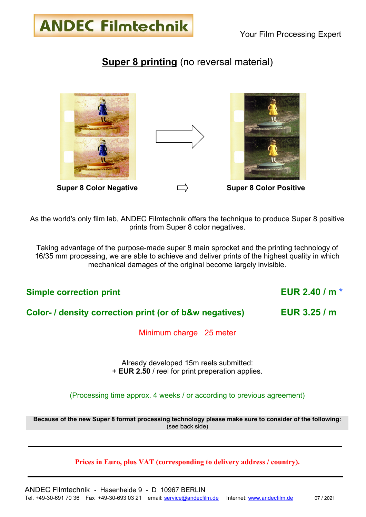## **Super 8 printing** (no reversal material)



**ANDEC Filmtechnik** 

As the world's only film lab, ANDEC Filmtechnik offers the technique to produce Super 8 positive prints from Super 8 color negatives.

Taking advantage of the purpose-made super 8 main sprocket and the printing technology of 16/35 mm processing, we are able to achieve and deliver prints of the highest quality in which mechanical damages of the original become largely invisible.

### **Simple correction print EUR 2.40 / m \***

#### **Color- / density correction print (or of b&w negatives) EUR 3.25 / m**

Minimum charge 25 meter

Already developed 15m reels submitted: + **EUR 2.50** / reel for print preperation applies.

(Processing time approx. 4 weeks / or according to previous agreement)

**Because of the new Super 8 format processing technology please make sure to consider of the following:** (see back side)

#### **Prices in Euro, plus VAT (corresponding to delivery address / country).**